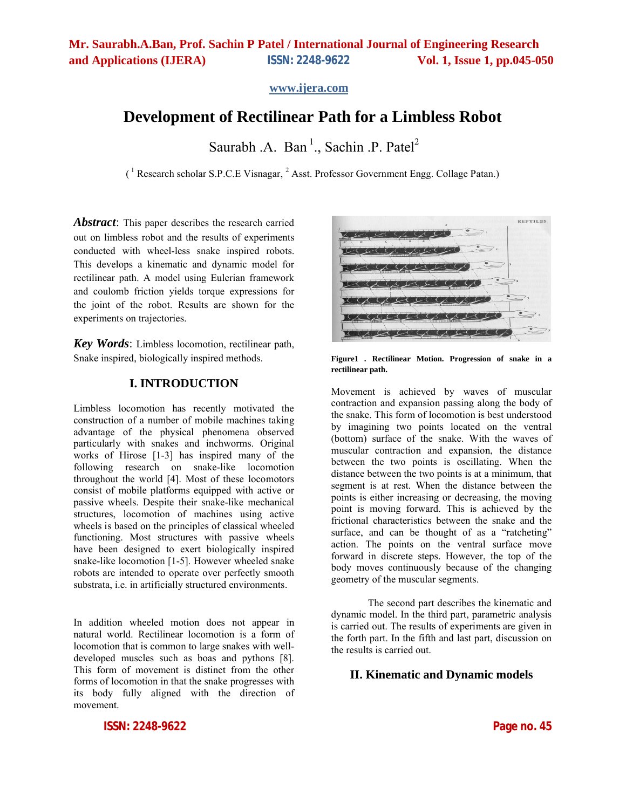**www.ijera.com**

# **Development of Rectilinear Path for a Limbless Robot**

Saurabh .A. Ban<sup>1</sup>., Sachin .P. Patel<sup>2</sup>

 $(^1$  Research scholar S.P.C.E Visnagar,  $^2$  Asst. Professor Government Engg. Collage Patan.)

Abstract: This paper describes the research carried out on limbless robot and the results of experiments conducted with wheel-less snake inspired robots. This develops a kinematic and dynamic model for rectilinear path. A model using Eulerian framework and coulomb friction yields torque expressions for the joint of the robot. Results are shown for the experiments on trajectories.

*Key Words*: Limbless locomotion, rectilinear path, Snake inspired, biologically inspired methods.

### **I. INTRODUCTION**

Limbless locomotion has recently motivated the construction of a number of mobile machines taking advantage of the physical phenomena observed particularly with snakes and inchworms. Original works of Hirose [1-3] has inspired many of the following research on snake-like locomotion throughout the world [4]. Most of these locomotors consist of mobile platforms equipped with active or passive wheels. Despite their snake-like mechanical structures, locomotion of machines using active wheels is based on the principles of classical wheeled functioning. Most structures with passive wheels have been designed to exert biologically inspired snake-like locomotion [1-5]. However wheeled snake robots are intended to operate over perfectly smooth substrata, i.e. in artificially structured environments.

In addition wheeled motion does not appear in natural world. Rectilinear locomotion is a form of locomotion that is common to large snakes with welldeveloped muscles such as boas and pythons [8]. This form of movement is distinct from the other forms of locomotion in that the snake progresses with its body fully aligned with the direction of movement.

**ISSN: 2248-9622 Page no. 45**

REPTILES COCOCOCOCOCO

**Figure1 . Rectilinear Motion. Progression of snake in a rectilinear path.** 

Movement is achieved by waves of muscular contraction and expansion passing along the body of the snake. This form of locomotion is best understood by imagining two points located on the ventral (bottom) surface of the snake. With the waves of muscular contraction and expansion, the distance between the two points is oscillating. When the distance between the two points is at a minimum, that segment is at rest. When the distance between the points is either increasing or decreasing, the moving point is moving forward. This is achieved by the frictional characteristics between the snake and the surface, and can be thought of as a "ratcheting" action. The points on the ventral surface move forward in discrete steps. However, the top of the body moves continuously because of the changing geometry of the muscular segments.

The second part describes the kinematic and dynamic model. In the third part, parametric analysis is carried out. The results of experiments are given in the forth part. In the fifth and last part, discussion on the results is carried out.

### **II. Kinematic and Dynamic models**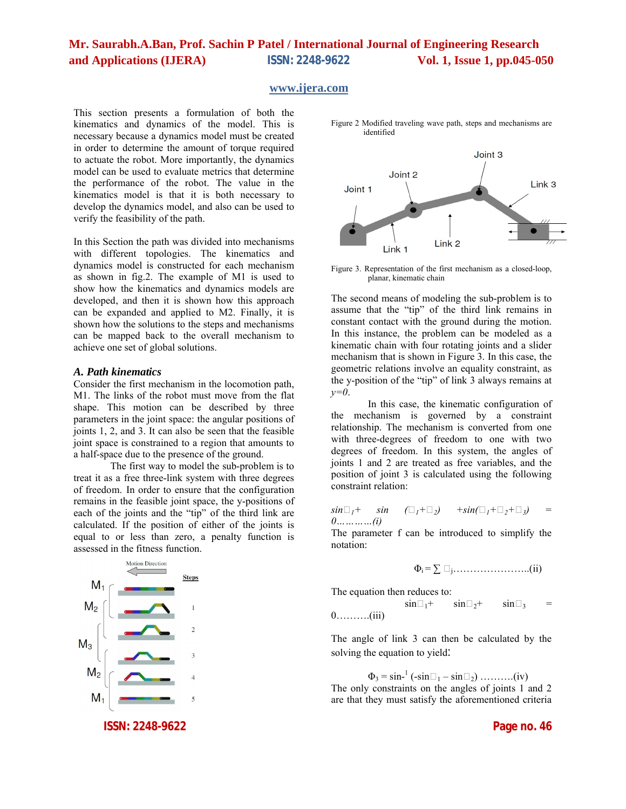#### **www.ijera.com**

This section presents a formulation of both the kinematics and dynamics of the model. This is necessary because a dynamics model must be created in order to determine the amount of torque required to actuate the robot. More importantly, the dynamics model can be used to evaluate metrics that determine the performance of the robot. The value in the kinematics model is that it is both necessary to develop the dynamics model, and also can be used to verify the feasibility of the path.

In this Section the path was divided into mechanisms with different topologies. The kinematics and dynamics model is constructed for each mechanism as shown in fig.2. The example of M1 is used to show how the kinematics and dynamics models are developed, and then it is shown how this approach can be expanded and applied to M2. Finally, it is shown how the solutions to the steps and mechanisms can be mapped back to the overall mechanism to achieve one set of global solutions.

#### *A. Path kinematics*

Consider the first mechanism in the locomotion path, M1. The links of the robot must move from the flat shape. This motion can be described by three parameters in the joint space: the angular positions of joints 1, 2, and 3. It can also be seen that the feasible joint space is constrained to a region that amounts to a half-space due to the presence of the ground.

The first way to model the sub-problem is to treat it as a free three-link system with three degrees of freedom. In order to ensure that the configuration remains in the feasible joint space, the y-positions of each of the joints and the "tip" of the third link are calculated. If the position of either of the joints is equal to or less than zero, a penalty function is assessed in the fitness function.





Figure 2 Modified traveling wave path, steps and mechanisms are identified

Figure 3. Representation of the first mechanism as a closed-loop, planar, kinematic chain

The second means of modeling the sub-problem is to assume that the "tip" of the third link remains in constant contact with the ground during the motion. In this instance, the problem can be modeled as a kinematic chain with four rotating joints and a slider mechanism that is shown in Figure 3. In this case, the geometric relations involve an equality constraint, as the y-position of the "tip" of link 3 always remains at *y=0*.

In this case, the kinematic configuration of the mechanism is governed by a constraint relationship. The mechanism is converted from one with three-degrees of freedom to one with two degrees of freedom. In this system, the angles of joints 1 and 2 are treated as free variables, and the position of joint 3 is calculated using the following constraint relation:

$$
\sin \Box_I + \sin \left( \Box_I + \Box_2 \right) + \sin(\Box_I + \Box_2 + \Box_3) = 0 \dots \dots \dots \dots (i)
$$

The parameter f can be introduced to simplify the notation:

Φi = ∑ j…………………..(ii)

The equation then reduces to:<br> $\sin \theta + \sin \theta$ 

 sin1+ sin2+ sin<sup>3</sup> = 0……….(iii)

The angle of link 3 can then be calculated by the solving the equation to yield:

 $\Phi_3 = \sin^{-1} (-\sin \Box_1 - \sin \Box_2) \dots \dots \dots (iv)$ The only constraints on the angles of joints 1 and 2 are that they must satisfy the aforementioned criteria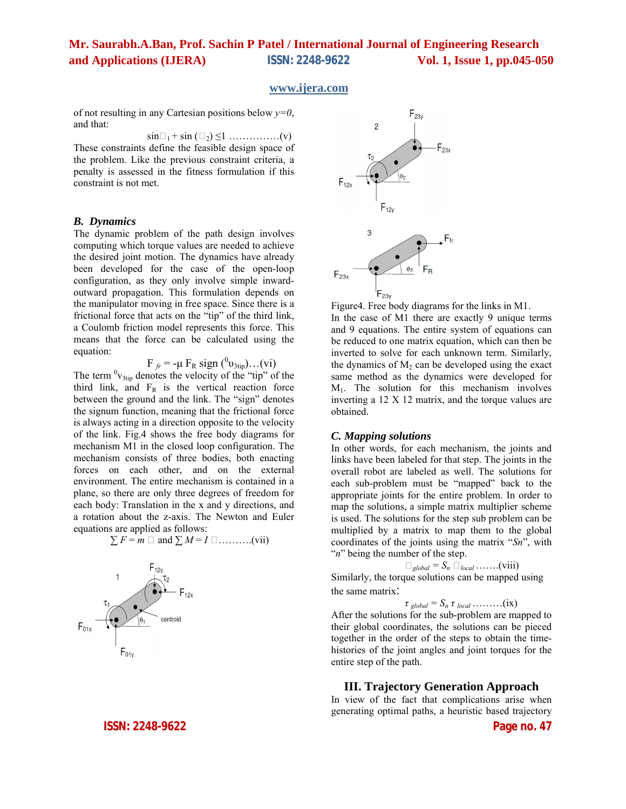#### **www.ijera.com**

of not resulting in any Cartesian positions below *y=0*, and that:

 $\sin\Box_1$  +  $\sin$  ( $\Box_2$ )  $\leq$ 1 ………………(v) These constraints define the feasible design space of the problem. Like the previous constraint criteria, a penalty is assessed in the fitness formulation if this constraint is not met.

#### *B. Dynamics*

The dynamic problem of the path design involves computing which torque values are needed to achieve the desired joint motion. The dynamics have already been developed for the case of the open-loop configuration, as they only involve simple inwardoutward propagation. This formulation depends on the manipulator moving in free space. Since there is a frictional force that acts on the "tip" of the third link, a Coulomb friction model represents this force. This means that the force can be calculated using the equation:

F<sub>fr</sub> = -μ F<sub>R</sub> sign (<sup>0</sup>v<sub>3tip</sub>)...(vi)

The term  $\mathrm{^{0}v_{3tip}}$  denotes the velocity of the "tip" of the third link, and  $F_R$  is the vertical reaction force between the ground and the link. The "sign" denotes the signum function, meaning that the frictional force is always acting in a direction opposite to the velocity of the link. Fig.4 shows the free body diagrams for mechanism M1 in the closed loop configuration. The mechanism consists of three bodies, both enacting forces on each other, and on the external environment. The entire mechanism is contained in a plane, so there are only three degrees of freedom for each body: Translation in the x and y directions, and a rotation about the z-axis. The Newton and Euler equations are applied as follows:

$$
\sum F = m \square \text{ and } \sum M = I \square \dots \dots \dots \dots (vii)
$$



**ISSN: 2248-9622 Page no. 47**



Figure4. Free body diagrams for the links in M1. In the case of M1 there are exactly 9 unique terms and 9 equations. The entire system of equations can be reduced to one matrix equation, which can then be inverted to solve for each unknown term. Similarly, the dynamics of  $M_2$  can be developed using the exact same method as the dynamics were developed for  $M<sub>1</sub>$ . The solution for this mechanism involves inverting a 12 X 12 matrix, and the torque values are obtained.

#### *C. Mapping solutions*

In other words, for each mechanism, the joints and links have been labeled for that step. The joints in the overall robot are labeled as well. The solutions for each sub-problem must be "mapped" back to the appropriate joints for the entire problem. In order to map the solutions, a simple matrix multiplier scheme is used. The solutions for the step sub problem can be multiplied by a matrix to map them to the global coordinates of the joints using the matrix "*Sn*", with "*n*" being the number of the step.

 $\square_{global} = S_n \square_{local} \dots \dots (viii)$ 

Similarly, the torque solutions can be mapped using the same matrix:

 $\tau$  *global* =  $S_n \tau$  *local* ………(ix)

After the solutions for the sub-problem are mapped to their global coordinates, the solutions can be pieced together in the order of the steps to obtain the timehistories of the joint angles and joint torques for the entire step of the path.

#### **III. Trajectory Generation Approach**

In view of the fact that complications arise when generating optimal paths, a heuristic based trajectory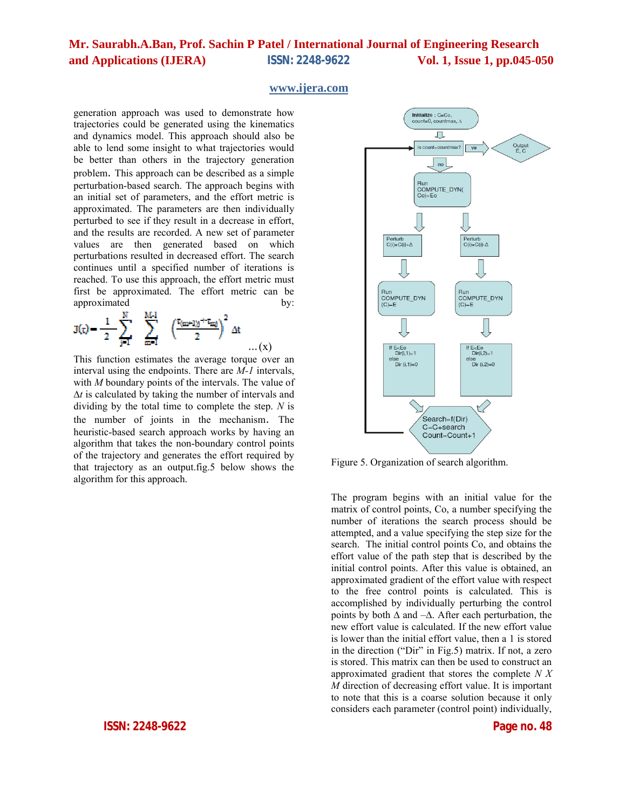#### **www.ijera.com**

generation approach was used to demonstrate how trajectories could be generated using the kinematics and dynamics model. This approach should also be able to lend some insight to what trajectories would be better than others in the trajectory generation problem. This approach can be described as a simple perturbation-based search. The approach begins with an initial set of parameters, and the effort metric is approximated. The parameters are then individually perturbed to see if they result in a decrease in effort, and the results are recorded. A new set of parameter values are then generated based on which perturbations resulted in decreased effort. The search continues until a specified number of iterations is reached. To use this approach, the effort metric must first be approximated. The effort metric can be approximated by:

$$
\mathbf{J}(\tau) = \frac{1}{2} \sum_{j=1}^{N} \sum_{m=1}^{M-1} \left( \frac{r_{(m+1)j} + r_{mj}}{2} \right)^2 \Delta t
$$

This function estimates the average torque over an interval using the endpoints. There are *M-1* intervals, with *M* boundary points of the intervals. The value of ∆*t* is calculated by taking the number of intervals and dividing by the total time to complete the step. *N* is the number of joints in the mechanism. The heuristic-based search approach works by having an algorithm that takes the non-boundary control points of the trajectory and generates the effort required by that trajectory as an output.fig.5 below shows the algorithm for this approach.



Figure 5. Organization of search algorithm.

The program begins with an initial value for the matrix of control points, Co, a number specifying the number of iterations the search process should be attempted, and a value specifying the step size for the search. The initial control points Co, and obtains the effort value of the path step that is described by the initial control points. After this value is obtained, an approximated gradient of the effort value with respect to the free control points is calculated. This is accomplished by individually perturbing the control points by both  $\Delta$  and  $-\Delta$ . After each perturbation, the new effort value is calculated. If the new effort value is lower than the initial effort value, then a 1 is stored in the direction ("Dir" in Fig.5) matrix. If not, a zero is stored. This matrix can then be used to construct an approximated gradient that stores the complete *N X M* direction of decreasing effort value. It is important to note that this is a coarse solution because it only considers each parameter (control point) individually,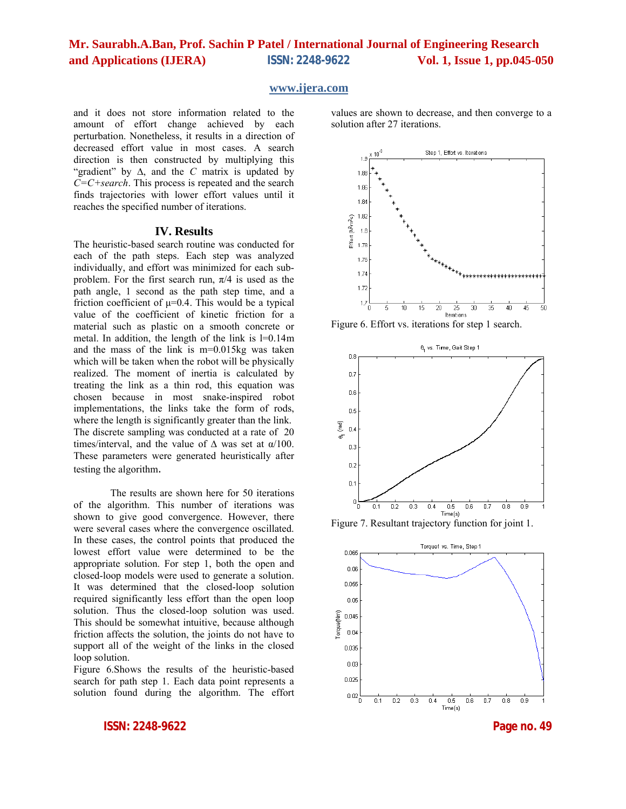#### **www.ijera.com**

and it does not store information related to the amount of effort change achieved by each perturbation. Nonetheless, it results in a direction of decreased effort value in most cases. A search direction is then constructed by multiplying this "gradient" by ∆, and the *C* matrix is updated by *C=C+search*. This process is repeated and the search finds trajectories with lower effort values until it reaches the specified number of iterations.

#### **IV. Results**

The heuristic-based search routine was conducted for each of the path steps. Each step was analyzed individually, and effort was minimized for each subproblem. For the first search run,  $\pi/4$  is used as the path angle, 1 second as the path step time, and a friction coefficient of  $\mu$ =0.4. This would be a typical value of the coefficient of kinetic friction for a material such as plastic on a smooth concrete or metal. In addition, the length of the link is l=0.14m and the mass of the link is m=0.015kg was taken which will be taken when the robot will be physically realized. The moment of inertia is calculated by treating the link as a thin rod, this equation was chosen because in most snake-inspired robot implementations, the links take the form of rods, where the length is significantly greater than the link. The discrete sampling was conducted at a rate of 20 times/interval, and the value of  $\Delta$  was set at  $\alpha/100$ . These parameters were generated heuristically after testing the algorithm.

The results are shown here for 50 iterations of the algorithm. This number of iterations was shown to give good convergence. However, there were several cases where the convergence oscillated. In these cases, the control points that produced the lowest effort value were determined to be the appropriate solution. For step 1, both the open and closed-loop models were used to generate a solution. It was determined that the closed-loop solution required significantly less effort than the open loop solution. Thus the closed-loop solution was used. This should be somewhat intuitive, because although friction affects the solution, the joints do not have to support all of the weight of the links in the closed loop solution.

Figure 6.Shows the results of the heuristic-based search for path step 1. Each data point represents a solution found during the algorithm. The effort

**ISSN: 2248-9622 Page no. 49**

values are shown to decrease, and then converge to a solution after 27 iterations.



Figure 6. Effort vs. iterations for step 1 search.



Figure 7. Resultant trajectory function for joint 1.